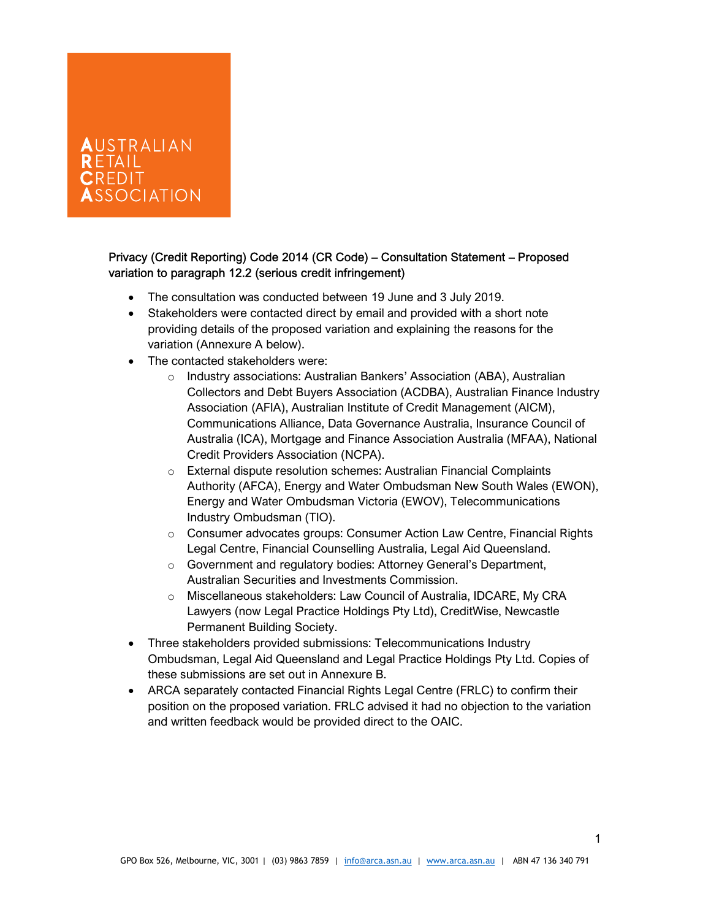# AUSTRALIAN  $\mathsf{R}\,\mathsf{FTAll}$  . CREDIT **SOCIATION**

### Privacy (Credit Reporting) Code 2014 (CR Code) – Consultation Statement – Proposed variation to paragraph 12.2 (serious credit infringement)

- The consultation was conducted between 19 June and 3 July 2019.
- Stakeholders were contacted direct by email and provided with a short note providing details of the proposed variation and explaining the reasons for the variation (Annexure A below).
- The contacted stakeholders were:
	- o Industry associations: Australian Bankers' Association (ABA), Australian Collectors and Debt Buyers Association (ACDBA), Australian Finance Industry Association (AFIA), Australian Institute of Credit Management (AICM), Communications Alliance, Data Governance Australia, Insurance Council of Australia (ICA), Mortgage and Finance Association Australia (MFAA), National Credit Providers Association (NCPA).
	- o External dispute resolution schemes: Australian Financial Complaints Authority (AFCA), Energy and Water Ombudsman New South Wales (EWON), Energy and Water Ombudsman Victoria (EWOV), Telecommunications Industry Ombudsman (TIO).
	- $\circ$  Consumer advocates groups: Consumer Action Law Centre, Financial Rights Legal Centre, Financial Counselling Australia, Legal Aid Queensland.
	- o Government and regulatory bodies: Attorney General's Department, Australian Securities and Investments Commission.
	- o Miscellaneous stakeholders: Law Council of Australia, IDCARE, My CRA Lawyers (now Legal Practice Holdings Pty Ltd), CreditWise, Newcastle Permanent Building Society.
- Three stakeholders provided submissions: Telecommunications Industry Ombudsman, Legal Aid Queensland and Legal Practice Holdings Pty Ltd. Copies of these submissions are set out in Annexure B.
- ARCA separately contacted Financial Rights Legal Centre (FRLC) to confirm their position on the proposed variation. FRLC advised it had no objection to the variation and written feedback would be provided direct to the OAIC.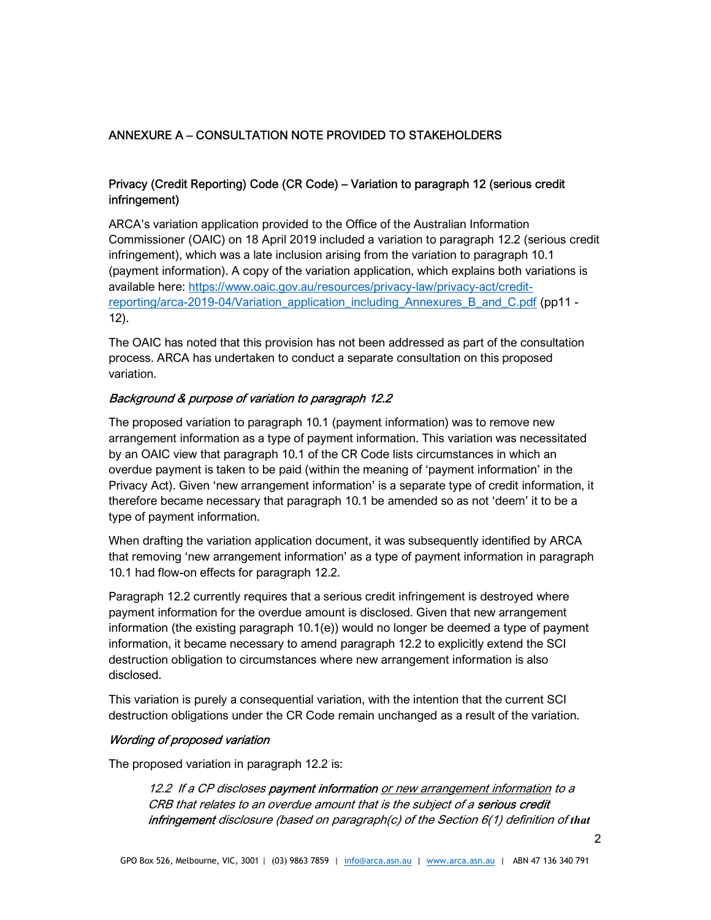## ANNEXURE A – CONSULTATION NOTE PROVIDED TO STAKEHOLDERS

### Privacy (Credit Reporting) Code (CR Code) – Variation to paragraph 12 (serious credit infringement)

ARCA's variation application provided to the Office of the Australian Information Commissioner (OAIC) on 18 April 2019 included a variation to paragraph 12.2 (serious credit infringement), which was a late inclusion arising from the variation to paragraph 10.1 (payment information). A copy of the variation application, which explains both variations is available here: https://www.oaic.gov.au/resources/privacy-law/privacy-act/creditreporting/arca-2019-04/Variation\_application\_including\_Annexures\_B\_and\_C.pdf (pp11 - 12).

The OAIC has noted that this provision has not been addressed as part of the consultation process. ARCA has undertaken to conduct a separate consultation on this proposed variation.

#### Background & purpose of variation to paragraph 12.2

The proposed variation to paragraph 10.1 (payment information) was to remove new arrangement information as a type of payment information. This variation was necessitated by an OAIC view that paragraph 10.1 of the CR Code lists circumstances in which an overdue payment is taken to be paid (within the meaning of 'payment information' in the Privacy Act). Given 'new arrangement information' is a separate type of credit information, it therefore became necessary that paragraph 10.1 be amended so as not 'deem' it to be a type of payment information.

When drafting the variation application document, it was subsequently identified by ARCA that removing 'new arrangement information' as a type of payment information in paragraph 10.1 had flow-on effects for paragraph 12.2.

Paragraph 12.2 currently requires that a serious credit infringement is destroyed where payment information for the overdue amount is disclosed. Given that new arrangement information (the existing paragraph 10.1(e)) would no longer be deemed a type of payment information, it became necessary to amend paragraph 12.2 to explicitly extend the SCI destruction obligation to circumstances where new arrangement information is also disclosed.

This variation is purely a consequential variation, with the intention that the current SCI destruction obligations under the CR Code remain unchanged as a result of the variation.

#### Wording of proposed variation

The proposed variation in paragraph 12.2 is:

12.2 If a CP discloses payment information or new arrangement information to a CRB that relates to an overdue amount that is the subject of a serious credit infringement disclosure (based on paragraph(c) of the Section 6(1) definition of that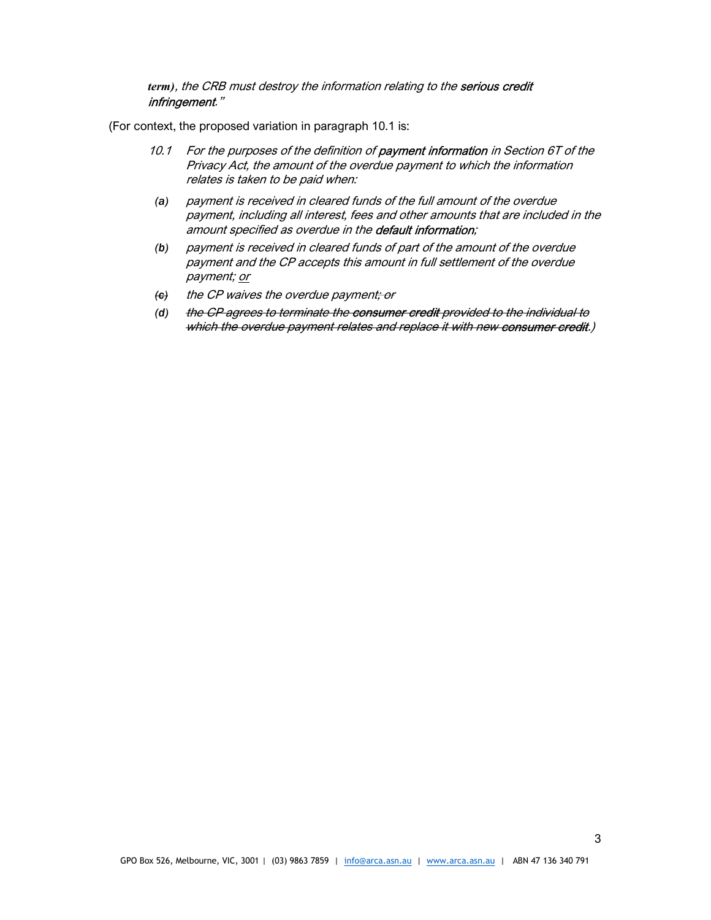term), the CRB must destroy the information relating to the serious credit infringement."

(For context, the proposed variation in paragraph 10.1 is:

- 10.1 For the purposes of the definition of **payment information** in Section 6T of the Privacy Act, the amount of the overdue payment to which the information relates is taken to be paid when:
- (a) payment is received in cleared funds of the full amount of the overdue payment, including all interest, fees and other amounts that are included in the amount specified as overdue in the **default information**;
- (b) payment is received in cleared funds of part of the amount of the overdue payment and the CP accepts this amount in full settlement of the overdue payment; or
- (e) the CP waives the overdue payment; or
- (d) the CP agrees to terminate the consumer credit provided to the individual to which the overdue payment relates and replace it with new consumer credit.)